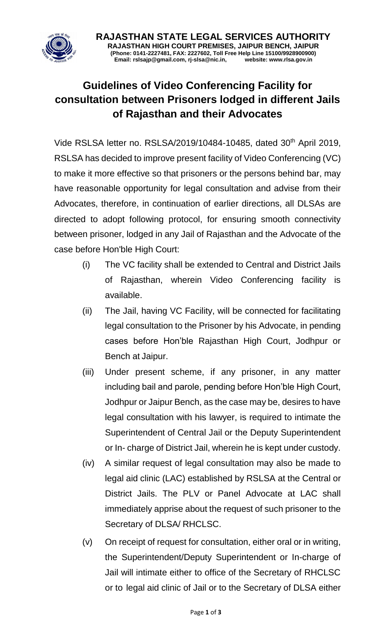

**RAJASTHAN STATE LEGAL SERVICES AUTHORITY RAJASTHAN HIGH COURT PREMISES, JAIPUR BENCH, JAIPUR (Phone: 0141-2227481, FAX: 2227602, Toll Free Help Line 15100/9928900900) Email: rslsajp@gmail.com, rj-slsa@nic.in, website: www.rlsa.gov.in**

## **Guidelines of Video Conferencing Facility for consultation between Prisoners lodged in different Jails of Rajasthan and their Advocates**

Vide RSLSA letter no. RSLSA/2019/10484-10485, dated 30<sup>th</sup> April 2019, RSLSA has decided to improve present facility of Video Conferencing (VC) to make it more effective so that prisoners or the persons behind bar, may have reasonable opportunity for legal consultation and advise from their Advocates, therefore, in continuation of earlier directions, all DLSAs are directed to adopt following protocol, for ensuring smooth connectivity between prisoner, lodged in any Jail of Rajasthan and the Advocate of the case before Hon'ble High Court:

- (i) The VC facility shall be extended to Central and District Jails of Rajasthan, wherein Video Conferencing facility is available.
- (ii) The Jail, having VC Facility, will be connected for facilitating legal consultation to the Prisoner by his Advocate, in pending cases before Hon'ble Rajasthan High Court, Jodhpur or Bench at Jaipur.
- (iii) Under present scheme, if any prisoner, in any matter including bail and parole, pending before Hon'ble High Court, Jodhpur or Jaipur Bench, as the case may be, desires to have legal consultation with his lawyer, is required to intimate the Superintendent of Central Jail or the Deputy Superintendent or In- charge of District Jail, wherein he is kept under custody.
- (iv) A similar request of legal consultation may also be made to legal aid clinic (LAC) established by RSLSA at the Central or District Jails. The PLV or Panel Advocate at LAC shall immediately apprise about the request of such prisoner to the Secretary of DLSA/ RHCLSC.
- (v) On receipt of request for consultation, either oral or in writing, the Superintendent/Deputy Superintendent or In-charge of Jail will intimate either to office of the Secretary of RHCLSC or to legal aid clinic of Jail or to the Secretary of DLSA either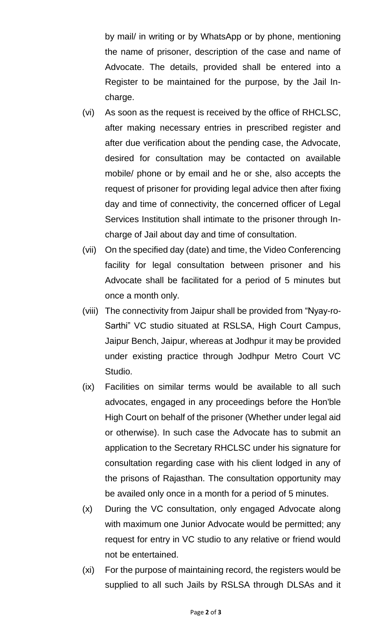by mail/ in writing or by WhatsApp or by phone, mentioning the name of prisoner, description of the case and name of Advocate. The details, provided shall be entered into a Register to be maintained for the purpose, by the Jail Incharge.

- (vi) As soon as the request is received by the office of RHCLSC, after making necessary entries in prescribed register and after due verification about the pending case, the Advocate, desired for consultation may be contacted on available mobile/ phone or by email and he or she, also accepts the request of prisoner for providing legal advice then after fixing day and time of connectivity, the concerned officer of Legal Services Institution shall intimate to the prisoner through Incharge of Jail about day and time of consultation.
- (vii) On the specified day (date) and time, the Video Conferencing facility for legal consultation between prisoner and his Advocate shall be facilitated for a period of 5 minutes but once a month only.
- (viii) The connectivity from Jaipur shall be provided from "Nyay-ro-Sarthi" VC studio situated at RSLSA, High Court Campus, Jaipur Bench, Jaipur, whereas at Jodhpur it may be provided under existing practice through Jodhpur Metro Court VC Studio.
- (ix) Facilities on similar terms would be available to all such advocates, engaged in any proceedings before the Hon'ble High Court on behalf of the prisoner (Whether under legal aid or otherwise). In such case the Advocate has to submit an application to the Secretary RHCLSC under his signature for consultation regarding case with his client lodged in any of the prisons of Rajasthan. The consultation opportunity may be availed only once in a month for a period of 5 minutes.
- (x) During the VC consultation, only engaged Advocate along with maximum one Junior Advocate would be permitted; any request for entry in VC studio to any relative or friend would not be entertained.
- (xi) For the purpose of maintaining record, the registers would be supplied to all such Jails by RSLSA through DLSAs and it